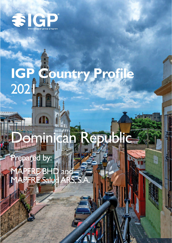

# IGP Country Profile<br>2021

# **ebublic** ncan **Imil**

# Prepared by:

APFRE-BHD and<br>APFRE Salud ARS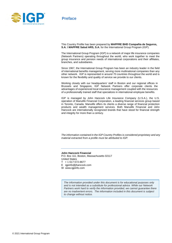

## **Preface**

This Country Profile has been prepared by **MAPFRE BHD Compañía de Seguros, S.A. \ MAPFRE Salud ARS, S.A.** for the International Group Program (IGP).

The International Group Program (IGP) is a network of major life insurance companies (Network Partners) operating throughout the world, who work together to meet the group insurance and pension needs of international corporations and their affiliates, branches, and subsidiaries.

Since 1967, the International Group Program has been an industry leader in the field of international benefits management, serving more multinational companies than any other network. IGP is represented in around 70 countries throughout the world and is known for the flexibility and quality of service we provide to our clients.

Working closely with our headquarters' staff in Boston and our regional offices in Brussels and Singapore, IGP Network Partners offer corporate clients the advantages of experienced local insurance management coupled with the resources of a professionally trained staff that specializes in international employee benefits.

IGP is managed by John Hancock Life Insurance Company (U.S.A.), the U.S. operation of Manulife Financial Corporation, a leading financial services group based in Toronto, Canada. Manulife offers its clients a diverse range of financial protection products and wealth management services. Both Manulife Financial and John Hancock are internationally recognized brands that have stood for financial strength and integrity for more than a century.

*The information contained in the IGP Country Profiles is considered proprietary and any material extracted from a profile must be attributed to IGP.*

### **John Hancock Financial**

P.O. Box 111, Boston, Massachusetts 02117 United States

- T + 1 617-572-8677
- E igpinfo@jhancock.com
- W www.igpinfo.com

*The information provided under this document is for educational purposes only and is not intended as a substitute for professional advice. While our Network*  Partners work hard to verify the information provided, we cannot guarantee there *are no inadvertent errors. The information included in this document is subject to change without notice.*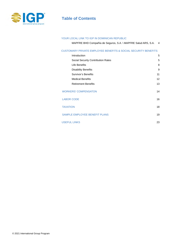

# **Table of Contents**

### YOUR LOCAL LINK TO IGP IN DOMINICAN REPUBLIC

MAPFRE BHD Compañía de Seguros, S.A. \ MAPFRE Salud ARS, S.A. 4

### CUSTOMARY PRIVATE EMPLOYEE BENEFITS & SOCIAL SECURITY BENEFITS

| Introduction                              | 5                 |
|-------------------------------------------|-------------------|
| <b>Social Security Contribution Rates</b> | 5                 |
| Life Benefits                             | 8                 |
| <b>Disability Benefits</b>                | 9                 |
| Survivor's Benefits                       | 11                |
| <b>Medical Benefits</b>                   | $12 \overline{ }$ |
| <b>Retirement Benefits</b>                | 13                |
| <b>WORKERS' COMPENSATON</b>               | 14                |
| <b>LABOR CODE</b>                         | 16                |
| <b>TAXATION</b>                           | 18                |
| SAMPLE EMPLOYEE BENEFIT PLANS             | 19                |
| <b>USEFUL LINKS</b>                       | 23                |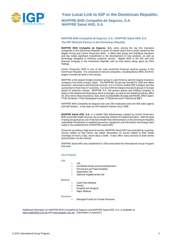

**Your Local Link to IGP in the Dominican Republic: MAPFRE BHD Compañía de Seguros, S.A. MAPFRE Salud ARS, S.A.**

### **MAPFRE BHD Compañía de Seguros, S.A. \ MAPFRE Salud ARS, S.A. The IGP Network Partner in the Dominican Republic**

**MAPFRE BHD Compañía de Seguros, S.A.** ranks among the top five insurance companies in the Dominican Republic in terms of market share and is jointly owned by the Mapfre Group and Centro Financiero BHD. It offers both group and individual insurance and has made significant investments in the development of new products, as well as technology designed to enhance customer service. Mapfre BHD is the first and only financial company in the Dominican Republic with an AAA (dom) rating, given by Fitch Ratings.

Centro Financiero BHD is one of the most prominent financial services groups in the Dominican Republic. It is comprised of several companies, including Banco BHD, the thirdlargest commercial bank in the country.

MAPFRE is the largest foreign insurance group in Latin America and the largest insurance company in its home country, Spain. The MAPFRE Group was founded in 1933 and offers insurance, reinsurance and financial services. It is a *Fortune Global 500* company and has a presence in more than 47 countries. It is one of the ten largest insurance groups in Europe based on premium volume. MAPFRE S.A., the group's parent and holding company, is listed on the Madrid and Barcelona stock exchanges, as well as the following indices: IBEX 35, Dow Jones Stoxx Insurance, Dow Jones Sustainability (Europe and World), MSCI Spain, FTSE All-World, FTSE Developed Europe, FTSE4Good and FTSE4Good IBEX.

MAPFRE BHD Compañía de Seguros has over 350 employees and over 600 sales agents and 595 brokers. It has been an IGP Network Partner since 1998.

**MAPFRE Salud ARS, S.A.** is a Health Risk Administrator created by Centro Financiero BHD to provide health services via an extensive network of medical providers. With the goal of being recognized as one of the best Health Risk Administrators in the Dominican Republic, substantial investments in qualified personnel, equipment and information technology were made in the establishment of MAPFRE Salud ARS.

Known for providing a high level of service, MAPFRE Salud ARS has extended its customer service hotline so that clients can obtain information on issues related to their health coverage 24 hours a day, seven days a week. It also offers many services to both clients and providers via the internet.

MAPFRE Salud ARS was established in 2003 and joined the International Group Program that year.

### **Key Products**

### **Life**

- Life
- Accidental Death and Dismemberment
- Permanent and Total Disability
- Dependent Life
- Optional Supplemental Life

### **Medical**

- Cash Flow Medical
- **Dental**
- Hospital and Surgical
- Major Medical

### **Pensions**

• Managed Funds for Private Pensions

Additional information on MAPFRE BHD Compañía de Seguros and MAPFRE Salud ARS, S.A. is available at: [www.mapfrebhd.com.d](http://www.bhd.com.do/)o an[d www.arspalic.com.do.](http://www.arspalic.com.do/) *(Information in Spanish.)*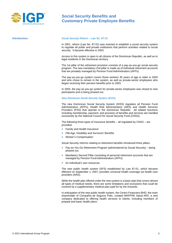

### <span id="page-4-0"></span>**Introduction:** *Social Security Reform – Law No. 87-01*

In 2001, reform (Law No. 87-01) was enacted to establish a social security system to regulate all public and private institutions that perform activities related to social security. It became effective in 2003.

Access to this system is open to all citizens of the Dominican Republic, as well as to legal residents in the Dominican territory.

The 1st pillar of the retirement provision consists of a pay-as-you-go social security program. The new mandatory 2nd pillar is made up of individual retirement accounts that are privately managed by Pension Fund Administrators (AFPs).

The pay-as-you-go system covers those workers 45 years of age or older in 2003 and who chose to remain in the system, as well as private-sector employees who began receiving their pension benefits prior to 2003.

In 2003, the pay-as-you-go system for private-sector employees was closed to new participants and is being phased out.

### *New Dominican Social Security System (IDSS)*

The new Dominican Social Security System (IDSS) regulates all Pension Fund Administrators (AFPs), Health Risk Administrators (ARS) and Health Services Providers (PSS) that operate in the Dominican Republic. All related functions including membership, payment, and provision of benefits and services are handled exclusively by the National Council for Social Security Fund (CNSS).

The following three types of insurance benefits – all regulated by CNSS – are provided:

- Family and Health Insurance
- Old-Age, Disability and Survivors' Benefits
- Worker's Compensation

Social Security reforms relating to retirement benefits introduced three pillars:

- Pay-as-You-Go Retirement Program (administered by Social Security) being phased out.
- Mandatory Second Pillar consisting of personal retirement accounts that are managed by Pension Fund Administrators (AFPs)
- An individual's own resources

The new public health system (SFS) established by Law 87-01, which became effective on September 1, 2007, provides universal health coverage via health care providers (ARS).

While the health plan offered under the new system is a basic plan that covers almost all types of medical needs, there are some limitations and exclusions that could be covered by a supplementary medical plan paid for by the insureds.

In anticipation of the new public health system, the Centro Financiero BHD, the main shareholder of Compañía de Seguros Palic, created MAPFRE Salud ARS, a new company dedicated to offering health services to clients, including members of prepaid and basic health plans.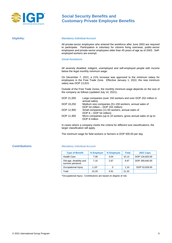

### **Eligibility:** *Mandatory Individual Account:*

All private-sector employees who entered the workforce after June 2003 are required to participate. Participation is voluntary for citizens living overseas, public-sector employees and private-sector employees older than 45 years of age as of 2003. Selfemployed workers are exempt.

### *Social Assistance:*

All severely disabled, indigent, unemployed and self-employed people with income below the legal monthly minimum wage.

On December 7, 2021, a 21% increase was approved to the minimum salary for employees in the Free Trade Zone. Effective January 1, 2022, the new minimum salary was DOP 13,915.

Outside of the Free Trade Zones, the monthly minimum wage depends on the size of the company as follows (updated July 14, 2021):

| DOP 21,000 | Large companies (over 150 workers and over DOP 202 million in<br>annual sales) |
|------------|--------------------------------------------------------------------------------|
|            |                                                                                |
| DOP 19,250 | Medium size companies (51-150 workers, annual sales of                         |
|            | DOP 54 million - DOP 202 million)                                              |
| DOP 12,900 | Small companies (11-50 workers, annual sales of                                |
|            | DOP $8 - DOP$ 54 million)                                                      |
| DOP 11,900 | Micro companies (up to 10 workers, gross annual sales of up to                 |
|            | DOP 8 million                                                                  |
|            |                                                                                |

In cases where a company meets the criteria for different size classifications, the larger classification will apply.

The minimum wage for field workers or farmers is DOP 500.00 per day.

### **Contributions:** *Mandatory Individual Account*

| <b>Type of Benefit</b>                       | % Employer | % Employee | <b>Total</b> | <b>2021 Caps</b> |
|----------------------------------------------|------------|------------|--------------|------------------|
| <b>Health Care</b>                           | 7.09       | 3.04       | 10.13        | DOP 134,820.00   |
| Old-age, disability and<br>survivor pensions | 7.10       | 2.87       | 9.97         | DOP 269.640.00   |
| Occupational Injury                          | $1.10*$    | 0          | 1.10         | DOP 53,928.00    |
| Total                                        | 15.29      | 5.91       | 21.20        |                  |

\*Occupational Injury: Contributions are based on degree of risk.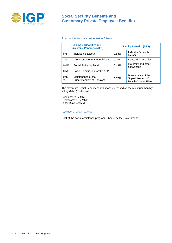

### *Total contributions are distributed as follows:*

| <b>Old-Age, Disability and</b><br><b>Survivors' Pensions (AFP)</b> |                                                  | <b>Family &amp; Health (SFS)</b> |                                                                 |
|--------------------------------------------------------------------|--------------------------------------------------|----------------------------------|-----------------------------------------------------------------|
| 8%                                                                 | Individual's account                             | 9.53%                            | Individual's health<br>benefit                                  |
| 1%                                                                 | Life insurance for the Individual                | 0.1%                             | Daycare & nurseries                                             |
| 0.4%                                                               | Social Solidarity Fund                           | 0.43%                            | Maternity and other<br>allowances                               |
| 0.5%                                                               | Basic Commission for the AFP                     |                                  |                                                                 |
| 0.07<br>℅                                                          | Maintenance of the<br>Superintendent of Pensions | 0.07%                            | Maintenance of the<br>Superintendent of<br>Health & Labor Risks |

The maximum Social Security contributions are based on the minimum monthly salary (MMS) as follows:

Pensions: 20 x MMS Healthcare: 10 x MMS Labor Risk: 4 x MMS

### *Social Assistance Program*

Cost of the social assistance program is borne by the Government.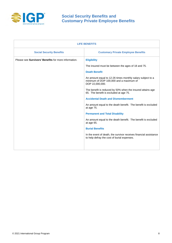

| <b>LIFE BENEFITS</b>                                        |                                                                                                                          |  |  |
|-------------------------------------------------------------|--------------------------------------------------------------------------------------------------------------------------|--|--|
| <b>Social Security Benefits</b>                             | <b>Customary Private Employee Benefits</b>                                                                               |  |  |
| Please see <b>Survivors' Benefits</b> for more information. | <b>Eligibility</b>                                                                                                       |  |  |
|                                                             | The insured must be between the ages of 18 and 75.                                                                       |  |  |
|                                                             | <b>Death Benefit</b>                                                                                                     |  |  |
|                                                             | An amount equal to 12-26 times monthly salary subject to a<br>minimum of DOP 100,000 and a maximum of<br>DOP 22,000,000. |  |  |
|                                                             | The benefit is reduced by 50% when the insured attains age<br>65. The benefit is excluded at age 75.                     |  |  |
|                                                             | <b>Accidental Death and Dismemberment</b>                                                                                |  |  |
|                                                             | An amount equal to the death benefit. The benefit is excluded<br>at age 75.                                              |  |  |
|                                                             | <b>Permanent and Total Disability</b>                                                                                    |  |  |
|                                                             | An amount equal to the death benefit. The benefit is excluded<br>at age 65.                                              |  |  |
|                                                             | <b>Burial Benefits</b>                                                                                                   |  |  |
|                                                             | In the event of death, the survivor receives financial assistance<br>to help defray the cost of burial expenses.         |  |  |
|                                                             |                                                                                                                          |  |  |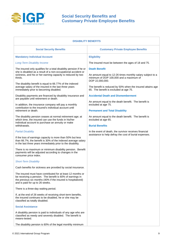

| <b>DISABILITY BENEFITS</b>                                                                                                                                                                                                                                                |                                                                                                                                                  |  |  |
|---------------------------------------------------------------------------------------------------------------------------------------------------------------------------------------------------------------------------------------------------------------------------|--------------------------------------------------------------------------------------------------------------------------------------------------|--|--|
| <b>Social Security Benefits</b>                                                                                                                                                                                                                                           | <b>Customary Private Employee Benefits</b>                                                                                                       |  |  |
| <b>Mandatory Individual Account</b>                                                                                                                                                                                                                                       | <b>Eligibility</b>                                                                                                                               |  |  |
| <b>Long-Term Disability Income</b>                                                                                                                                                                                                                                        | The insured must be between the ages of 18 and 75.                                                                                               |  |  |
| The insured only qualifies for a total disability pension if he or<br>she is disabled as a result of a non-occupational accident or<br>sickness, and his or her earning capacity is reduced by two<br>thirds.<br>The disability benefit is equal to 66.77% of the indexed | <b>Death Benefit</b><br>An amount equal to 12-26 times monthly salary subject to a<br>minimum of DOP 100,000 and a maximum of<br>DOP 22,000,000. |  |  |
| average salary of the insured in the last three years<br>immediately prior to becoming disabled.                                                                                                                                                                          | The benefit is reduced by 50% when the insured attains age<br>65. The benefit is excluded at age 75.                                             |  |  |
| Disability payments are financed by disability insurance and<br>are payable until retirement or death.                                                                                                                                                                    | <b>Accidental Death and Dismemberment</b>                                                                                                        |  |  |
| In addition, the insurance company will pay a monthly<br>contribution to the insured's individual account until                                                                                                                                                           | An amount equal to the death benefit. The benefit is<br>excluded at age 75.                                                                      |  |  |
| retirement or death.                                                                                                                                                                                                                                                      | <b>Permanent and Total Disability</b>                                                                                                            |  |  |
| The disability pension ceases at normal retirement age; at<br>which time, the insured can use the funds in his/her<br>individual account to purchase an annuity or make                                                                                                   | An amount equal to the death benefit. The benefit is<br>excluded at age 65.                                                                      |  |  |
| withdrawals.<br><b>Partial Disability</b>                                                                                                                                                                                                                                 | <b>Burial Benefits</b><br>In the event of death, the survivor receives financial                                                                 |  |  |
| If the loss of earnings capacity is more than 50% but less<br>than 66.7%, the benefit is 30% of the indexed average salary<br>in the last three years immediately prior to the disability.                                                                                | assistance to help defray the cost of burial expenses.                                                                                           |  |  |
| There is no maximum or minimum disability pension. Benefit<br>payments will be adjusted according to changes in the<br>consumer price index.                                                                                                                              |                                                                                                                                                  |  |  |
| <b>Short-Term Disability</b>                                                                                                                                                                                                                                              |                                                                                                                                                  |  |  |
| Cash benefits for sickness are provided by social insurance.                                                                                                                                                                                                              |                                                                                                                                                  |  |  |
| The insured must have contributed for at least 12 months or<br>be receiving a pension. The benefit is 60% of earnings in<br>the previous six months (40% if the insured is hospitalized)<br>and is paid for up to 26 weeks.                                               |                                                                                                                                                  |  |  |
| There is a three-day waiting period.                                                                                                                                                                                                                                      |                                                                                                                                                  |  |  |
| If, at the end of 26 weeks of receiving short-term benefits,<br>the insured continues to be disabled, he or she may be<br>classified as totally disabled.                                                                                                                 |                                                                                                                                                  |  |  |
| <b>Social Assistance</b>                                                                                                                                                                                                                                                  |                                                                                                                                                  |  |  |
| A disability pension is paid to individuals of any age who are<br>classified as needy and severely disabled. The benefit is<br>means-tested.                                                                                                                              |                                                                                                                                                  |  |  |
| The disability pension is 60% of the legal monthly minimum                                                                                                                                                                                                                |                                                                                                                                                  |  |  |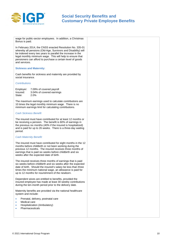

wage for public-sector employees. In addition, a Christmas Bonus is paid.

In February 2014, the CNSS enacted Resolution No. 335-01 whereby all pensions (Old-Age, Survivors and Disability) will be indexed every two years to parallel the increase in the legal monthly minimum wage. This will help to ensure that pensioners can afford to purchase a certain level of goods and services.

### **Sickness and Maternity:**

Cash benefits for sickness and maternity are provided by social insurance.

### *Contributions*

| Employer: | 7.09% of covered payroll  |
|-----------|---------------------------|
| Insured:  | 3.04% of covered earnings |
| State:    | 2.0%                      |

The maximum earnings used to calculate contributions are 10 times the legal monthly minimum wage. There is no minimum earnings limit for calculating contributions.

### *Cash Sickness Benefit*

The insured must have contributed for at least 12 months or be receiving a pension. The benefit is 60% of earnings in the previous six months (40% if the insured is hospitalized) and is paid for up to 26 weeks. There is a three-day waiting period.

### *Cash Maternity Benefit:*

The insured must have contributed for eight months in the 12 months before childbirth or not been working during the previous 12 months. The insured receives three months of earnings that is paid six weeks before childbirth and six weeks after the expected date of birth.

The insured receives three months of earnings that is paid six weeks before childbirth and six weeks after the expected date of birth. Should the insured's salary be less than three times the minimum national wage, an allowance is paid for up to 12 months for nourishment of the newborn.

Dependent wives are entitled to benefits, provided the insured employee has made at least 30 weekly contributions during the ten-month period prior to the delivery date.

Maternity benefits are provided via the national healthcare system and include:

- Prenatal, delivery, postnatal care
- Medical care
- Hospitalization (Ambulatory)
- **Pharmaceuticals**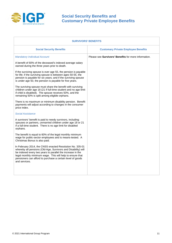

| <b>SURVIVORS' BENEFITS</b>                                                                                                                                                                                                                                                                                                          |                                                      |  |  |
|-------------------------------------------------------------------------------------------------------------------------------------------------------------------------------------------------------------------------------------------------------------------------------------------------------------------------------------|------------------------------------------------------|--|--|
| <b>Social Security Benefits</b>                                                                                                                                                                                                                                                                                                     | <b>Customary Private Employee Benefits</b>           |  |  |
| <b>Mandatory Individual Account</b>                                                                                                                                                                                                                                                                                                 | Please see Survivors' Benefits for more information. |  |  |
| A benefit of 60% of the deceased's indexed average salary<br>earned during the three years prior to death.                                                                                                                                                                                                                          |                                                      |  |  |
| If the surviving spouse is over age 55, the pension is payable<br>for life; if the surviving spouse is between ages 50-55, the<br>pension is payable for six years; and if the surviving spouse<br>is under age 50, the pension is payable for five years.                                                                          |                                                      |  |  |
| The surviving spouse must share the benefit with surviving<br>children under age 18 (21 if full-time student and no age limit<br>if child is disabled). The spouse receives 50%, and the<br>remaining 50% is split among eligible orphans.                                                                                          |                                                      |  |  |
| There is no maximum or minimum disability pension. Benefit<br>payments will adjust according to changes in the consumer<br>price index.                                                                                                                                                                                             |                                                      |  |  |
| <b>Social Assistance</b>                                                                                                                                                                                                                                                                                                            |                                                      |  |  |
| A survivors' benefit is paid to needy survivors, including:<br>spouses or partners, unmarried children under age 18 or 21<br>if a full-time student. There is no age limit for disabled<br>orphans.                                                                                                                                 |                                                      |  |  |
| The benefit is equal to 60% of the legal monthly minimum<br>wage for public-sector employees and is means-tested. A<br>Christmas Bonus is also paid.                                                                                                                                                                                |                                                      |  |  |
| In February 2014, the CNSS enacted Resolution No. 335-01<br>whereby all pensions (Old-Age, Survivors and Disability) will<br>be indexed every two years to parallel the increase in the<br>legal monthly minimum wage. This will help to ensure that<br>pensioners can afford to purchase a certain level of goods<br>and services. |                                                      |  |  |
|                                                                                                                                                                                                                                                                                                                                     |                                                      |  |  |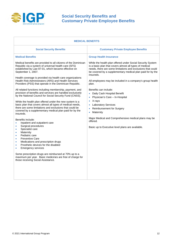

| <b>MEDICAL BENEFITS</b>                                                                                                                                                                                                                                                                                                                                                                                                                                                                                                                 |                                                                                                                                                                                                                                                                 |  |  |
|-----------------------------------------------------------------------------------------------------------------------------------------------------------------------------------------------------------------------------------------------------------------------------------------------------------------------------------------------------------------------------------------------------------------------------------------------------------------------------------------------------------------------------------------|-----------------------------------------------------------------------------------------------------------------------------------------------------------------------------------------------------------------------------------------------------------------|--|--|
| <b>Social Security Benefits</b>                                                                                                                                                                                                                                                                                                                                                                                                                                                                                                         | <b>Customary Private Employee Benefits</b>                                                                                                                                                                                                                      |  |  |
| <b>Medical Benefits</b>                                                                                                                                                                                                                                                                                                                                                                                                                                                                                                                 | <b>Group Health Insurance</b>                                                                                                                                                                                                                                   |  |  |
| Medical benefits are provided to all citizens of the Dominican<br>Republic via a system of universal health care (SFS)<br>established by Law 87-01, which became effective on<br>September 1, 2007.                                                                                                                                                                                                                                                                                                                                     | While the health plan offered under Social Security System<br>is a basic plan that covers almost all types of medical<br>needs, there are some limitations and exclusions that could<br>be covered by a supplementary medical plan paid for by the<br>insureds. |  |  |
| Health coverage is provided via health care organizations<br>Health Risk Administrators (ARS) and Health Services<br>Providers (PSS) that operate in the Dominican Republic.                                                                                                                                                                                                                                                                                                                                                            | All employees may be included in a company's group health<br>plan.                                                                                                                                                                                              |  |  |
| All related functions including membership, payment, and<br>provision of benefits and services are handled exclusively<br>by the National Council for Social Security Fund (CNSS).                                                                                                                                                                                                                                                                                                                                                      | Benefits can include:<br>Daily Cash Hospital Benefit<br>Physician's Care - In-Hospital<br>$\bullet$                                                                                                                                                             |  |  |
| While the health plan offered under the new system is a<br>basic plan that covers almost all types of medical needs,<br>there are some limitations and exclusions that could be<br>covered by a supplementary medical plan paid for by the<br>insureds.                                                                                                                                                                                                                                                                                 | X-rays<br>$\bullet$<br><b>Laboratory Services</b><br>$\bullet$<br><b>Reimbursement for Surgery</b><br>Maternity<br>$\bullet$                                                                                                                                    |  |  |
| Benefits include:<br>Inpatient and outpatient care<br>$\bullet$<br>Surgical procedures<br>$\bullet$<br>Specialist care<br>$\bullet$<br>Maternity<br>$\bullet$<br>Pediatric care<br>$\bullet$<br><b>Preventive Care</b><br>۰<br>Medications and prescription drugs<br>$\bullet$<br>Prosthetic devices for the disabled<br>$\bullet$<br><b>Emergency services</b><br>$\bullet$<br>Some prescription drugs are reimbursed at 70% up to a<br>maximum per year. Basic medicines are free of charge for<br>those receiving Social Assistance. | Major Medical and Comprehensive medical plans may be<br>offered.<br>Basic up to Executive level plans are available.                                                                                                                                            |  |  |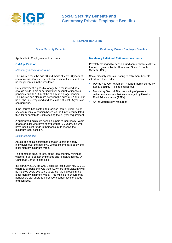

| <b>RETIREMENT BENEFITS</b>                                                                                                                                                                                                                                                                                                                                                                                                                                                                                                                                                                                                                                                                                                                                                                                                                                                                                                                                                                                                                                                                                                                                                                                                                                                                                                                                                                                                                                                                                                                                                                         |                                                                                                                                                                                                                                                                                                                                                                    |  |  |
|----------------------------------------------------------------------------------------------------------------------------------------------------------------------------------------------------------------------------------------------------------------------------------------------------------------------------------------------------------------------------------------------------------------------------------------------------------------------------------------------------------------------------------------------------------------------------------------------------------------------------------------------------------------------------------------------------------------------------------------------------------------------------------------------------------------------------------------------------------------------------------------------------------------------------------------------------------------------------------------------------------------------------------------------------------------------------------------------------------------------------------------------------------------------------------------------------------------------------------------------------------------------------------------------------------------------------------------------------------------------------------------------------------------------------------------------------------------------------------------------------------------------------------------------------------------------------------------------------|--------------------------------------------------------------------------------------------------------------------------------------------------------------------------------------------------------------------------------------------------------------------------------------------------------------------------------------------------------------------|--|--|
| <b>Social Security Benefits</b>                                                                                                                                                                                                                                                                                                                                                                                                                                                                                                                                                                                                                                                                                                                                                                                                                                                                                                                                                                                                                                                                                                                                                                                                                                                                                                                                                                                                                                                                                                                                                                    | <b>Customary Private Employee Benefits</b>                                                                                                                                                                                                                                                                                                                         |  |  |
| Applicable to Employees and Laborers                                                                                                                                                                                                                                                                                                                                                                                                                                                                                                                                                                                                                                                                                                                                                                                                                                                                                                                                                                                                                                                                                                                                                                                                                                                                                                                                                                                                                                                                                                                                                               | <b>Mandatory Individual Retirement Accounts</b>                                                                                                                                                                                                                                                                                                                    |  |  |
| <b>Old-Age Pension</b><br><b>Mandatory Individual Account</b>                                                                                                                                                                                                                                                                                                                                                                                                                                                                                                                                                                                                                                                                                                                                                                                                                                                                                                                                                                                                                                                                                                                                                                                                                                                                                                                                                                                                                                                                                                                                      | Privately managed by pension fund administrators (AFPs)<br>that are regulated by the Dominican Social Security<br>System (IDSS).                                                                                                                                                                                                                                   |  |  |
| The insured must be age 60 and made at least 30 years of<br>contributions. Once in receipt of a pension, the insured can<br>no longer remain in the workforce.<br>Early retirement is possible at age 55 if the insured has<br>enough funds in his or her individual account to finance a<br>pension equal to 150% of the minimum old-age pension.<br>The insured can also retire between the ages of 57 and 59 if<br>he or she is unemployed and has made at least 25 years of<br>contributions.<br>If the insured has contributed for less than 25 years, he or<br>she can receive a pension based on the funds accumulated<br>thus far or contribute until reaching the 25-year requirement.<br>A guaranteed minimum pension is paid to insureds 65 years<br>of age or older who have contributed for 25 years, but who<br>have insufficient funds in their account to receive the<br>minimum legal pension.<br><b>Social Assistance</b><br>An old-age social assistance pension is paid to needy<br>individuals over the age of 60 whose income falls below the<br>legal monthly minimum wage.<br>The benefit is equal to 60% of the legal monthly minimum<br>wage for public-sector employees and is means-tested. A<br>Christmas Bonus is also paid.<br>In February 2014, the CNSS enacted Resolution No. 335-01<br>whereby all pensions (Old-Age, Survivors' and Disability) will<br>be indexed every two years to parallel the increase in the<br>legal monthly minimum wage. This will help to ensure that<br>pensioners can afford to purchase a certain level of goods<br>and services. | Social Security reforms relating to retirement benefits<br>introduced three pillars:<br>Pay-as-You-Go Retirement Program (administered by<br>Social Security) - being phased out.<br>Mandatory Second Pillar consisting of personal<br>$\bullet$<br>retirement accounts that are managed by Pension<br>Fund Administrators (AFPs)<br>An individual's own resources |  |  |
|                                                                                                                                                                                                                                                                                                                                                                                                                                                                                                                                                                                                                                                                                                                                                                                                                                                                                                                                                                                                                                                                                                                                                                                                                                                                                                                                                                                                                                                                                                                                                                                                    |                                                                                                                                                                                                                                                                                                                                                                    |  |  |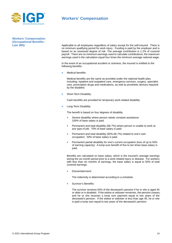

# **Workers' Compensation**

**Workers' Compensation (Occupational Benefits -** 

**Law 385):** Applicable to all employees regardless of salary except for the self-insured. There is no minimum qualifying period for work injury. Funding is paid by the employer and is based on an assessed degree of risk. The average contribution is 1.2% of covered payroll. There are no minimum earnings used to calculate contributions; the maximum earnings used in the calculation equal four times the minimum average national wage.

> In the event of an occupational accident or sickness, the insured is entitled to the following benefits:

Medical benefits:

Medical benefits are the same as provided under the national health plan, including: inpatient and outpatient care, emergency services, surgery, specialist care, prescription drugs and medications, as well as prosthetic devices required by the disabled.

Short-Term Disability:

Cash benefits are provided for temporary work-related disability.

• Long-Term Disability:

The benefit is based on four degrees of disability.

- Severe disability where person needs constant assistance: 100% of base salary is paid.
- Permanent and total disability (66.7%) where person is unable to work at any type of job: 70% of base salary is paid.
- Permanent and total disability (50%-66.7%) related to one's own occupation: 50% of base salary is paid.
- Permanent partial disability for one's current occupation (loss of up to 50% of earning capacity): A lump-sum benefit of five to ten times base salary is paid.

Benefits are calculated on base salary, which is the insured's average earnings during the six-month period prior to a work-related injury or disease. For workers with less than six months of earnings, the base salary is equal to 50% of total covered earnings.

Dismemberment:

The indemnity is determined according to a schedule.

Survivor's Benefits:

The survivor receives 50% of the deceased's pension if he or she is aged 45 or older or is disabled. If the widow or widower remarries, the pension ceases, and he or she receives a lump sum payment equal to two years of the deceased's pension. If the widow or widower is less than age 45, he or she is paid a lump sum equal to two years of the deceased's pension.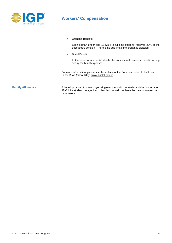

# **Workers' Compensation**

• Orphans' Benefits:

Each orphan under age 18 (21 if a full-time student) receives 20% of the deceased's pension. There is no age limit if the orphan is disabled.

• Burial Benefit:

In the event of accidental death, the survivor will receive a benefit to help defray the burial expenses.

For more information, please see the website of the Superintendent of Health and Labor Risks (SISALRIL): [www.sisalril.gov.do](http://www.sisalril.gov.do/)

**Family Allowance:** A benefit provided to unemployed single mothers with unmarried children under age 18 (21 if a student, no age limit if disabled), who do not have the means to meet their basic needs.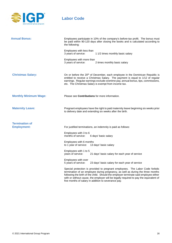

# **Labor Code**

| <b>Annual Bonus:</b>         | Employees participate in 10% of the company's before-tax profit. The bonus must<br>be paid within 90-120 days after closing the books and is calculated according to<br>the following: |                                                                                                                                                                                                                                                                                                                                                                                                         |  |
|------------------------------|----------------------------------------------------------------------------------------------------------------------------------------------------------------------------------------|---------------------------------------------------------------------------------------------------------------------------------------------------------------------------------------------------------------------------------------------------------------------------------------------------------------------------------------------------------------------------------------------------------|--|
|                              | Employees with less than<br>3 years of service:                                                                                                                                        | 1 1/2 times monthly basic salary                                                                                                                                                                                                                                                                                                                                                                        |  |
|                              | Employees with more than<br>3 years of service:                                                                                                                                        | 2 times monthly basic salary                                                                                                                                                                                                                                                                                                                                                                            |  |
| <b>Christmas Salary:</b>     |                                                                                                                                                                                        | On or before the 20 <sup>th</sup> of December, each employee in the Dominican Republic is<br>entitled to receive a Christmas Salary. The payment is equal to 1/12 of regular<br>earnings. Regular earnings exclude overtime pay, annual bonus, tips, commissions,<br>etc. The Christmas Salary is exempt from income tax.                                                                               |  |
| <b>Monthly Minimum Wage:</b> |                                                                                                                                                                                        | Please see <b>Contributions</b> for more information.                                                                                                                                                                                                                                                                                                                                                   |  |
| <b>Maternity Leave:</b>      |                                                                                                                                                                                        | Pregnant employees have the right to paid maternity leave beginning six weeks prior<br>to delivery date and extending six weeks after the birth.                                                                                                                                                                                                                                                        |  |
| <b>Termination of</b>        |                                                                                                                                                                                        |                                                                                                                                                                                                                                                                                                                                                                                                         |  |
| <b>Employment:</b>           |                                                                                                                                                                                        | For justified terminations, an indemnity is paid as follows:                                                                                                                                                                                                                                                                                                                                            |  |
|                              | Employees with 3 to 6<br>months of service:                                                                                                                                            | 6 days' basic salary                                                                                                                                                                                                                                                                                                                                                                                    |  |
|                              | Employees with 6 months<br>to 1 year of service: 13 days' basic salary                                                                                                                 |                                                                                                                                                                                                                                                                                                                                                                                                         |  |
|                              | Employees with 1 to 5<br>years of service:                                                                                                                                             | 21 days' basic salary for each year of service                                                                                                                                                                                                                                                                                                                                                          |  |
|                              | Employees with over<br>5 years of service:                                                                                                                                             | 23 days' basic salary for each year of service                                                                                                                                                                                                                                                                                                                                                          |  |
|                              |                                                                                                                                                                                        | Special protection is provided to pregnant employees. The Labor Code forbids<br>termination of an employee during pregnancy, as well as during the three months<br>following the birth of the child. Should the employer terminate said employee either<br>with or without cause, the employer will be legally required to pay the equivalent of<br>five months of salary in addition to severance pay. |  |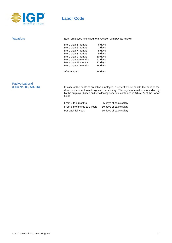

# **Labor Code**

|                     | Each employee is entitled to a vacation with pay as follows: |  |
|---------------------|--------------------------------------------------------------|--|
| More than 5 months  | 6 days                                                       |  |
| More than 6 months  | 7 days                                                       |  |
| More than 7 months  | 8 days                                                       |  |
| More than 8 months  | 9 days                                                       |  |
| More than 9 months  | 10 days                                                      |  |
| More than 10 months | 11 days                                                      |  |
| More than 11 months | 12 days                                                      |  |
| More than 12 months | 14 days                                                      |  |
| After 5 years       | 18 days                                                      |  |
|                     |                                                              |  |

# Pasivo Laboral<br>(Law No. 80, Art. 66)

In case of the death of an active employee, a benefit will be paid to the heirs of the deceased and not to a designated beneficiary. The payment must be made directly by the employer based on the following schedule contained in Article 72 of the Labor Code.

| From 3 to 6 months:         | 5 days of basic salary  |
|-----------------------------|-------------------------|
| From 6 months up to a year: | 10 days of basic salary |
| For each full year:         | 15 days of basic salary |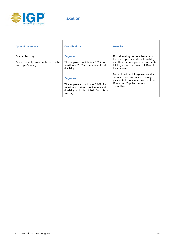

| <b>Type of Insurance</b>                                                               | <b>Contributions</b>                                                                                                                            | <b>Benefits</b>                                                                                                                                                         |
|----------------------------------------------------------------------------------------|-------------------------------------------------------------------------------------------------------------------------------------------------|-------------------------------------------------------------------------------------------------------------------------------------------------------------------------|
| <b>Social Security</b><br>Social Security taxes are based on the<br>employee's salary. | <i>Employer:</i><br>The employer contributes 7.09% for<br>health and 7.10% for retirement and<br>disability.                                    | For calculating the complementary<br>tax, employees can deduct disability<br>and life insurance premium payments<br>totaling up to a maximum of 10% of<br>their income. |
|                                                                                        | Employee:<br>The employee contributes 3.04% for<br>health and 2.87% for retirement and<br>disability, which is withheld from his or<br>her pay. | Medical and dental expenses and, in<br>certain cases, insurance coverage<br>payments to companies native of the<br>Dominican Republic are also<br>deductible.           |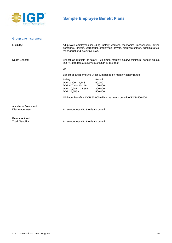

# **Sample Employee Benefit Plans**

### <span id="page-18-0"></span>**Group Life Insurance:**

| Eligibility:                           | All private employees including factory workers, mechanics, messengers, airline<br>personnel, janitors, warehouse employees, drivers, night watchmen, administrative,<br>managerial and executive staff.         |                                                                      |
|----------------------------------------|------------------------------------------------------------------------------------------------------------------------------------------------------------------------------------------------------------------|----------------------------------------------------------------------|
| Death Benefit:                         | Benefit as multiple of salary: 24 times monthly salary; minimum benefit equals<br>DOP 100,000 to a maximum of DOP 10,800,000<br><b>Or</b><br>Benefit as a flat amount: A flat sum based on monthly salary range: |                                                                      |
|                                        |                                                                                                                                                                                                                  |                                                                      |
|                                        |                                                                                                                                                                                                                  |                                                                      |
|                                        | Salary<br>DOP $2,800 - 4,743$<br>DOP 4,744 $-$ 10,246<br>DOP $10,247 - 24,554$<br>DOP 24,555 +                                                                                                                   | Benefit<br>50,000<br>100,000<br>200,000<br>500,000                   |
|                                        |                                                                                                                                                                                                                  | Minimum benefit is DOP 50,000 with a maximum benefit of DOP 500,000. |
| Accidental Death and<br>Dismemberment: | An amount equal to the death benefit.                                                                                                                                                                            |                                                                      |
| Permanent and<br>Total Disability:     | An amount equal to the death benefit.                                                                                                                                                                            |                                                                      |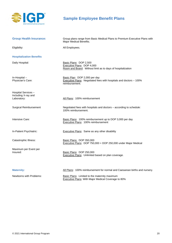

# **Sample Employee Benefit Plans**

| <b>Group Health Insurance:</b>                            | Group plans range from Basic Medical Plans to Premium Executive Plans with<br>Major Medical Benefits.                 |
|-----------------------------------------------------------|-----------------------------------------------------------------------------------------------------------------------|
| Eligibility:                                              | All Employees.                                                                                                        |
| <b>Hospitalization Benefits</b>                           |                                                                                                                       |
| Daily Hospital:                                           | Basic Plans: DOP 2,500<br>Executive Plans: DOP 4,000<br>Room and Board: Without limit as to days of hospitalization   |
| In-Hospital-<br>Physician's Care:                         | Basic Plan: DOP 2,000 per day<br>Executive Plans: Negotiated fees with hospitals and doctors - 100%<br>reimbursement. |
| Hospital Services -<br>Including X-ray and<br>Laboratory: | All Plans: 100% reimbursement                                                                                         |
| Surgical Reimbursement                                    | Negotiated fees with hospitals and doctors - according to schedule:<br>100% reimbursement.                            |
| Intensive Care:                                           | Basic Plans: 100% reimbursement up to DOP 3,000 per day<br>Executive Plans: 100% reimbursement                        |
| In-Patient Psychiatric:                                   | <b>Executive Plans:</b> Same as any other disability                                                                  |
| Catastrophic Illness:                                     | Basic Plans: DOP 350,000<br>Executive Plans: DOP 750,000 + DOP 250,000 under Major Medical                            |
| Maximum per Event per<br>Insured:                         | Basic Plans: DOP 250,000<br>Executive Plans: Unlimited based on plan coverage.                                        |
| <b>Maternity:</b>                                         | All Plans: 100% reimbursement for normal and Caesarean births and nursery.                                            |
| Newborns with Problems:                                   | Basic Plans: Limited to the maternity maximum<br>Executive Plans: With Major Medical Coverage to 80%                  |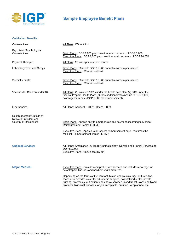

**Out-Patient Benefits:**

# **Sample Employee Benefit Plans**

| Consultations:                                                             | All Plans: Without limit                                                                                                                                                                                                                                                                                                              |
|----------------------------------------------------------------------------|---------------------------------------------------------------------------------------------------------------------------------------------------------------------------------------------------------------------------------------------------------------------------------------------------------------------------------------|
| Psychiatric/Psychological<br>Consultations:                                | Basic Plans: DOP 1,000 per consult; annual maximum of DOP 5,000<br>Executive Plans: DOP 1,000 per consult; annual maximum of DOP 20,000                                                                                                                                                                                               |
| Physical Therapy:                                                          | All Plans: 20 visits per year per insured                                                                                                                                                                                                                                                                                             |
| Laboratory Tests and X-rays:                                               | Basic Plans: 80% with DOP 12,000 annual maximum per insured<br>Executive Plans: 80% without limit                                                                                                                                                                                                                                     |
| <b>Specialist Tests:</b>                                                   | Basic Plans: 80% with DOP 10,000 annual maximum per insured<br><b>Executive Plans: 80% without limit</b>                                                                                                                                                                                                                              |
| Vaccines for Children under 10:                                            | All Plans: (1) covered 100% under the health care plan; (2) 80% under the<br>Special Prepaid Health Plan; (3) 80% additional vaccines up to DOP 6,000;<br>coverage via rebate (DOP 2,000 for reimbursement).                                                                                                                          |
| Emergencies:                                                               | All Plans: Accident - 100%; Illness - 80%                                                                                                                                                                                                                                                                                             |
| Reimbursement Outside of<br>Network Providers and<br>Country of Residence: | <b>Basic Plans:</b> Applies only to emergencies and payment according to Medical<br>Reimbursement Tables (T.H.M.)<br>Executive Plans: Applies to all issues; reimbursement equal two times the<br>Medical Reimbursement Tables (T.H.M.)                                                                                               |
| <b>Optional Services:</b>                                                  | All Plans: Ambulance (by land); Ophthalmology; Dental; and Funeral Services (to<br>DOP 50,000)<br>Executive Plans: Ambulance (by air)                                                                                                                                                                                                 |
| <b>Major Medical:</b>                                                      | Executive Plans: Provides comprehensive services and includes coverage for<br>catastrophic illnesses and newborns with problems.                                                                                                                                                                                                      |
|                                                                            | Depending on the terms of the contract, Major Medical coverage on Executive<br>Plans also provides cover for orthopedic supplies, hospital bed rental, private<br>nursing, prosthesis, out-patient anesthesia services, blood transfusions and blood<br>products, high-cost diseases, organ transplants, nutrition, sleep apnea, etc. |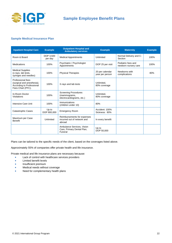

### **Sample Medical Insurance Plan**

| <b>Inpatient Hospital Care</b>                                                                    | <b>Example</b>       | <b>Outpatient Hospital and</b><br><b>Ambulatory services</b>             | <b>Example</b>                     | <b>Maternity</b>                           | <b>Example</b> |
|---------------------------------------------------------------------------------------------------|----------------------|--------------------------------------------------------------------------|------------------------------------|--------------------------------------------|----------------|
| Room & Board                                                                                      | DOP 3.500<br>per day | <b>Medical Appointments</b>                                              | Unlimited                          | Normal Delivery and C-<br>Section          | 100%           |
| Medications                                                                                       | 100%                 | Psychiatric / Psychologist<br>Appointments                               | DOP 25 per visit                   | Pediatric fees and<br>newborn nursery care | 100%           |
| <b>Medical Supplies</b><br>(x-rays, lab tests,<br>syringes and needles)                           | 100%                 | <b>Physical Therapies</b>                                                | 20 per calendar<br>year per person | Newborns with<br>complications             | 80%            |
| Professional fees<br>(surgical and anesthesia).<br>According to Professional<br>Fees Chart (PFC). | 100%                 | X-rays and lab tests                                                     | Unlimited.<br>80% coverage         |                                            |                |
| In-Room Doctor<br><b>Visitations</b>                                                              | 100%                 | <b>Screening Procedures</b><br>(mammograms,<br>electrocardiograms, etc.) | Unlimited.<br>80% coverage         |                                            |                |
| <b>Intensive Care Unit</b>                                                                        | 100%                 | Immunizations<br>(children under 10)                                     | 80%                                |                                            |                |
| <b>Catastrophic Cases</b>                                                                         | Up to<br>DOP 800,000 | <b>Emergency Room</b>                                                    | Accident: 100%<br>Sickness: 80%    |                                            |                |
| Maximum per Case<br><b>Benefit</b>                                                                | Unlimited            | Reimbursements for expenses<br>incurred out of network and<br>abroad     | In every benefit                   |                                            |                |
|                                                                                                   |                      | Ambulance Services, Vision<br>Care, Primary Dental Plan,<br>Funeral      | Up to<br>DOP 50,000                |                                            |                |

Plans can be tailored to the specific needs of the client, based on the coverages listed above.

Approximately 55% of companies offer private health and life insurance.

Private medical and life insurance plans are necessary because:

- Lack of control with healthcare services providers
- Limited benefit levels
- Insufficient premium
- Medical needs without coverage
- Need for complementary health plans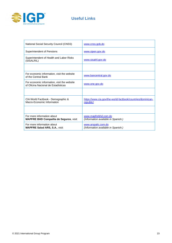

# **Useful Links**

| <b>National Social Security Council (CNSS)</b>                                     | www.cnss.gob.do                                                          |
|------------------------------------------------------------------------------------|--------------------------------------------------------------------------|
| Superintendent of Pensions                                                         | www.sipen.gov.do                                                         |
| Superintendent of Health and Labor Risks<br>(SISALRIL)                             | www.sisalril.gov.do                                                      |
|                                                                                    |                                                                          |
| For economic information, visit the website<br>of the Central Bank                 | www.bancentral.gov.do                                                    |
| For economic information, visit the website<br>of Oficina Nacional de Estadísticas | www.one.gov.do                                                           |
|                                                                                    |                                                                          |
| CIA World Factbook - Demographic &<br>Macro-Economic Information                   | https://www.cia.gov/the-world-factbook/countries/dominican-<br>republic/ |
|                                                                                    |                                                                          |
| For more information about<br>MAPFRE BHD Compañía de Seguros, visit:               | www.mapfrebhd.com.do<br>(Information available in Spanish.)              |
| For more information about<br><b>MAPFRE Salud ARS, S.A., visit:</b>                | www.arspalic.com.do<br>(Information available in Spanish.)               |